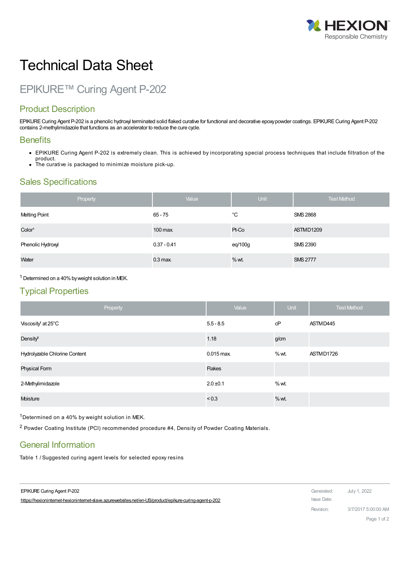

# Technical Data Sheet

# EPIKURE™ Curing Agent P-202

## Product Description

EPIKURE Curing Agent P-202 is a phenolic hydroxyl terminated solid flaked curative for functional and decorative epoxy powder coatings. EPIKURE Curing Agent P-202 contains 2-methylimidazole that functions as an accelerator to reduce the cure cycle.

#### **Benefits**

- EPIKURE Curing Agent P-202 is extremely clean. This is achieved by incorporating special process techniques that include filtration of the product.
- The curative is packaged to minimize moisture pick-up.

#### Sales Specifications

| Property             | Value         | Unit    | <b>Test Method</b> |
|----------------------|---------------|---------|--------------------|
| <b>Melting Point</b> | 65 - 75       | °C      | <b>SMS 2868</b>    |
| Color <sup>1</sup>   | $100$ max.    | Pt-Co   | ASTMD1209          |
| Phenolic Hydroxyl    | $0.37 - 0.41$ | eq/100g | <b>SMS 2390</b>    |
| Water                | $0.3$ max.    | $%$ wt. | <b>SMS 2777</b>    |

 $1$  Determined on a 40% by weight solution in MEK.

#### Typical Properties

| Property                       | Value         | Unit    | <b>Test Method</b> |
|--------------------------------|---------------|---------|--------------------|
| Viscosity <sup>1</sup> at 25°C | $5.5 - 8.5$   | cP      | ASTMD445           |
| Density <sup>2</sup>           | 1.18          | g/cm    |                    |
| Hydrolyzable Chlorine Content  | $0.015$ max.  | $%$ wt. | ASTMD1726          |
| Physical Form                  | <b>Flakes</b> |         |                    |
| 2-Methylimidazole              | $2.0 \pm 0.1$ | $%$ wt. |                    |
| Moisture                       | ${}_{< 0.3}$  | % wt.   |                    |

1Determined on a 40% by weight solution in MEK.

<sup>2</sup> Powder Coating Institute (PCI) recommended procedure #4, Density of Powder Coating Materials.

#### General Information

Table 1 / Suggested curing agent levels for selected epoxy resins

EPIKURE Curing Agent P-202 Generated: July 1, 2022 https://hexioninternet-hexioninternet-slave.azurewebsites.net/en-US/product/epikure-curing-agent-p-202 Issue Date:

Revision: 3/7/2017 5:00:00 AM

Page 1 of 2